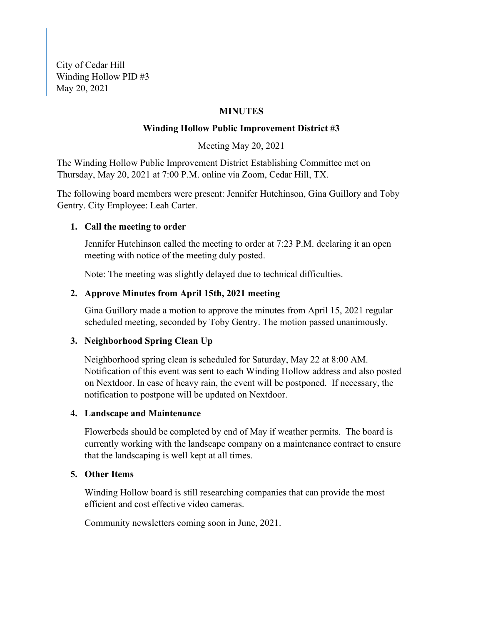City of Cedar Hill Winding Hollow PID #3 May 20, 2021

## **MINUTES**

#### **Winding Hollow Public Improvement District #3**

Meeting May 20, 2021

The Winding Hollow Public Improvement District Establishing Committee met on Thursday, May 20, 2021 at 7:00 P.M. online via Zoom, Cedar Hill, TX.

The following board members were present: Jennifer Hutchinson, Gina Guillory and Toby Gentry. City Employee: Leah Carter.

#### **1. Call the meeting to order**

Jennifer Hutchinson called the meeting to order at 7:23 P.M. declaring it an open meeting with notice of the meeting duly posted.

Note: The meeting was slightly delayed due to technical difficulties.

### **2. Approve Minutes from April 15th, 2021 meeting**

Gina Guillory made a motion to approve the minutes from April 15, 2021 regular scheduled meeting, seconded by Toby Gentry. The motion passed unanimously.

#### **3. Neighborhood Spring Clean Up**

Neighborhood spring clean is scheduled for Saturday, May 22 at 8:00 AM. Notification of this event was sent to each Winding Hollow address and also posted on Nextdoor. In case of heavy rain, the event will be postponed. If necessary, the notification to postpone will be updated on Nextdoor.

## **4. Landscape and Maintenance**

Flowerbeds should be completed by end of May if weather permits. The board is currently working with the landscape company on a maintenance contract to ensure that the landscaping is well kept at all times.

#### **5. Other Items**

Winding Hollow board is still researching companies that can provide the most efficient and cost effective video cameras.

Community newsletters coming soon in June, 2021.